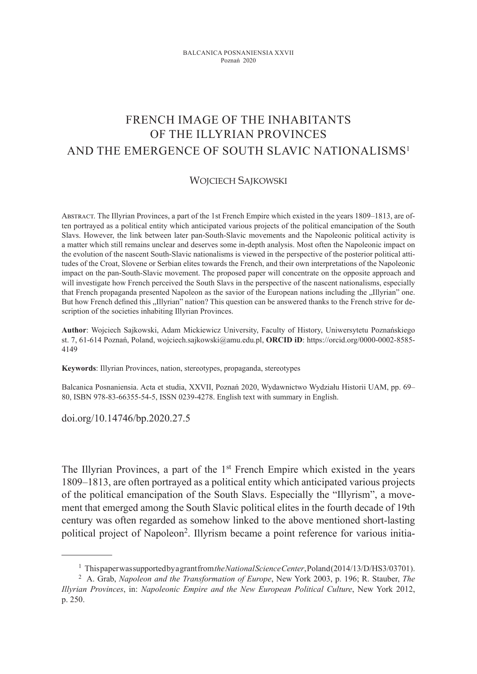# FRENCH IMAGE OF THE INHABITANTS OF THE ILLYRIAN PROVINCES AND THE EMERGENCE OF SOUTH SLAVIC NATIONALISMS<sup>1</sup>

#### WOJCIECH SAJKOWSKI

Abstract. The Illyrian Provinces, a part of the 1st French Empire which existed in the years 1809–1813, are often portrayed as a political entity which anticipated various projects of the political emancipation of the South Slavs. However, the link between later pan-South-Slavic movements and the Napoleonic political activity is a matter which still remains unclear and deserves some in-depth analysis. Most often the Napoleonic impact on the evolution of the nascent South-Slavic nationalisms is viewed in the perspective of the posterior political attitudes of the Croat, Slovene or Serbian elites towards the French, and their own interpretations of the Napoleonic impact on the pan-South-Slavic movement. The proposed paper will concentrate on the opposite approach and will investigate how French perceived the South Slavs in the perspective of the nascent nationalisms, especially that French propaganda presented Napoleon as the savior of the European nations including the "Illyrian" one. But how French defined this "Illyrian" nation? This question can be answered thanks to the French strive for description of the societies inhabiting Illyrian Provinces.

**Author**: Wojciech Sajkowski, Adam Mickiewicz University, Faculty of History, Uniwersytetu Poznańskiego st. 7, 61-614 Poznań, Poland, wojciech.sajkowski@amu.edu.pl, **ORCID iD**: https://orcid.org/0000-0002-8585- 4149

**Keywords**: Illyrian Provinces, nation, stereotypes, propaganda, stereotypes

Balcanica Posnaniensia. Acta et studia, XXVII, Poznań 2020, Wydawnictwo Wydziału Historii UAM, pp. 69– 80, ISBN 978-83-66355-54-5, ISSN 0239-4278. English text with summary in English.

doi.org/10.14746/bp.2020.27.5

The Illyrian Provinces, a part of the 1<sup>st</sup> French Empire which existed in the years 1809–1813, are often portrayed as a political entity which anticipated various projects of the political emancipation of the South Slavs. Especially the "Illyrism", a movement that emerged among the South Slavic political elites in the fourth decade of 19th century was often regarded as somehow linked to the above mentioned short-lasting political project of Napoleon2. Illyrism became a point reference for various initia-

<sup>&</sup>lt;sup>1</sup> This paper was supported by a grant from *the National Science Center*, Poland (2014/13/D/HS3/03701).

<sup>2</sup> A. Grab, *Napoleon and the Transformation of Europe*, New York 2003, p. 196; R. Stauber, *The Illyrian Provinces*, in: *Napoleonic Empire and the New European Political Culture*, New York 2012, p. 250.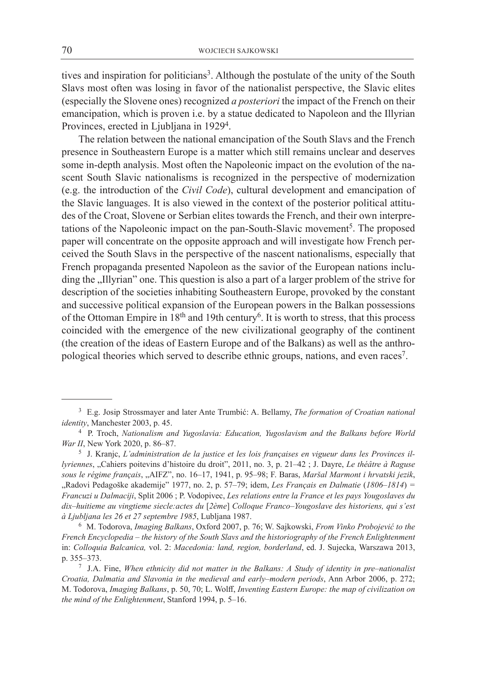tives and inspiration for politicians<sup>3</sup>. Although the postulate of the unity of the South Slavs most often was losing in favor of the nationalist perspective, the Slavic elites (especially the Slovene ones) recognized *a posteriori* the impact of the French on their emancipation, which is proven i.e. by a statue dedicated to Napoleon and the Illyrian Provinces, erected in Ljubljana in 1929<sup>4</sup>.

The relation between the national emancipation of the South Slavs and the French presence in Southeastern Europe is a matter which still remains unclear and deserves some in-depth analysis. Most often the Napoleonic impact on the evolution of the nascent South Slavic nationalisms is recognized in the perspective of modernization (e.g. the introduction of the *Civil Code*), cultural development and emancipation of the Slavic languages. It is also viewed in the context of the posterior political attitudes of the Croat, Slovene or Serbian elites towards the French, and their own interpretations of the Napoleonic impact on the pan-South-Slavic movement<sup>5</sup>. The proposed paper will concentrate on the opposite approach and will investigate how French perceived the South Slavs in the perspective of the nascent nationalisms, especially that French propaganda presented Napoleon as the savior of the European nations including the "Illyrian" one. This question is also a part of a larger problem of the strive for description of the societies inhabiting Southeastern Europe, provoked by the constant and successive political expansion of the European powers in the Balkan possessions of the Ottoman Empire in 18<sup>th</sup> and 19th century<sup>6</sup>. It is worth to stress, that this process coincided with the emergence of the new civilizational geography of the continent (the creation of the ideas of Eastern Europe and of the Balkans) as well as the anthropological theories which served to describe ethnic groups, nations, and even races7.

<sup>3</sup> E.g. Josip Strossmayer and later Ante Trumbić: A. Bellamy, *The formation of Croatian national identity*, Manchester 2003, p. 45.

<sup>4</sup> P. Troch, *Nationalism and Yugoslavia: Education, Yugoslavism and the Balkans before World War II*, New York 2020, p. 86–87.

<sup>5</sup> J. Kranjc, *L'administration de la justice et les lois françaises en vigueur dans les Provinces illyriennes*, "Cahiers poitevins d'histoire du droit", 2011, no. 3, p. 21–42 ; J. Dayre, *Le théâtre à Raguse sous le régime français*, "AIFZ", no. 16–17, 1941, p. 95–98; F. Baras, *Maršal Marmont i hrvatski jezik*, "Radovi Pedagoške akademije" 1977, no. 2, p. 57–79; idem, *Les Français en Dalmatie* (*1806–1814*) *= Francuzi u Dalmaciji*, Split 2006 ; P. Vodopivec, *Les relations entre la France et les pays Yougoslaves du dix–huitieme au vingtieme siecle:actes du* [*2ème*] *Colloque Franco–Yougoslave des historiens, qui s'est à Ljubljana les 26 et 27 septembre 1985*, Lubljana 1987.

<sup>6</sup> M. Todorova, *Imaging Balkans*, Oxford 2007, p. 76; W. Sajkowski, *From Vinko Probojević to the French Encyclopedia – the history of the South Slavs and the historiography of the French Enlightenment* in: *Colloquia Balcanica,* vol. 2: *Macedonia: land, region, borderland*, ed. J. Sujecka, Warszawa 2013, p. 355–373.

<sup>7</sup> J.A. Fine, *When ethnicity did not matter in the Balkans: A Study of identity in pre–nationalist Croatia, Dalmatia and Slavonia in the medieval and early–modern periods*, Ann Arbor 2006, p. 272; M. Todorova, *Imaging Balkans*, p. 50, 70; L. Wolff, *Inventing Eastern Europe: the map of civilization on the mind of the Enlightenment*, Stanford 1994, p. 5–16.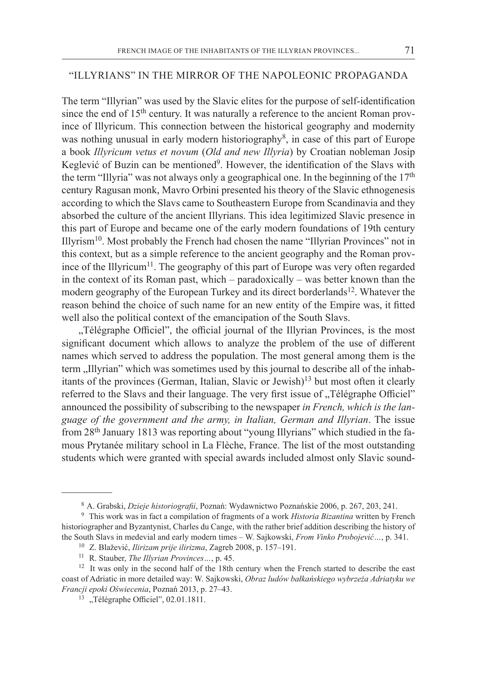#### "Illyrians" in the mirror of the Napoleonic propaganda

The term "Illyrian" was used by the Slavic elites for the purpose of self-identification since the end of 15<sup>th</sup> century. It was naturally a reference to the ancient Roman province of Illyricum. This connection between the historical geography and modernity was nothing unusual in early modern historiography<sup>8</sup>, in case of this part of Europe a book *Illyricum vetus et novum* (*Old and new Illyria*) by Croatian nobleman Josip Keglević of Buzin can be mentioned<sup>9</sup>. However, the identification of the Slavs with the term "Illyria" was not always only a geographical one. In the beginning of the  $17<sup>th</sup>$ century Ragusan monk, Mavro Orbini presented his theory of the Slavic ethnogenesis according to which the Slavs came to Southeastern Europe from Scandinavia and they absorbed the culture of the ancient Illyrians. This idea legitimized Slavic presence in this part of Europe and became one of the early modern foundations of 19th century Illyrism10. Most probably the French had chosen the name "Illyrian Provinces" not in this context, but as a simple reference to the ancient geography and the Roman province of the Illyricum<sup>11</sup>. The geography of this part of Europe was very often regarded in the context of its Roman past, which – paradoxically – was better known than the modern geography of the European Turkey and its direct borderlands<sup>12</sup>. Whatever the reason behind the choice of such name for an new entity of the Empire was, it fitted well also the political context of the emancipation of the South Slavs.

"Télégraphe Officiel", the official journal of the Illyrian Provinces, is the most significant document which allows to analyze the problem of the use of different names which served to address the population. The most general among them is the term ,,Illyrian" which was sometimes used by this journal to describe all of the inhabitants of the provinces (German, Italian, Slavic or Jewish)<sup>13</sup> but most often it clearly referred to the Slavs and their language. The very first issue of "Télégraphe Officiel" announced the possibility of subscribing to the newspaper *in French, which is the language of the government and the army, in Italian, German and Illyrian*. The issue from 28<sup>th</sup> January 1813 was reporting about "young Illyrians" which studied in the famous Prytanée military school in La Flèche, France. The list of the most outstanding students which were granted with special awards included almost only Slavic sound-

<sup>8</sup> A. Grabski, *Dzieje historiografii*, Poznań: Wydawnictwo Poznańskie 2006, p. 267, 203, 241.

<sup>9</sup> This work was in fact a compilation of fragments of a work *Historia Bizantina* written by French historiographer and Byzantynist, Charles du Cange, with the rather brief addition describing the history of the South Slavs in medevial and early modern times – W. Sajkowski, *From Vinko Probojević…*, p. 341.

<sup>10</sup> Z. Blažević, *Ilirizam prije ilirizma*, Zagreb 2008, p. 157–191.

<sup>11</sup> R. Stauber, *The Illyrian Provinces…*, p. 45.

<sup>&</sup>lt;sup>12</sup> It was only in the second half of the 18th century when the French started to describe the east coast of Adriatic in more detailed way: W. Sajkowski, *Obraz ludów bałkańskiego wybrzeża Adriatyku we Francji epoki Oświecenia*, Poznań 2013, p. 27–43.

<sup>&</sup>lt;sup>13</sup> "Télégraphe Officiel", 02.01.1811.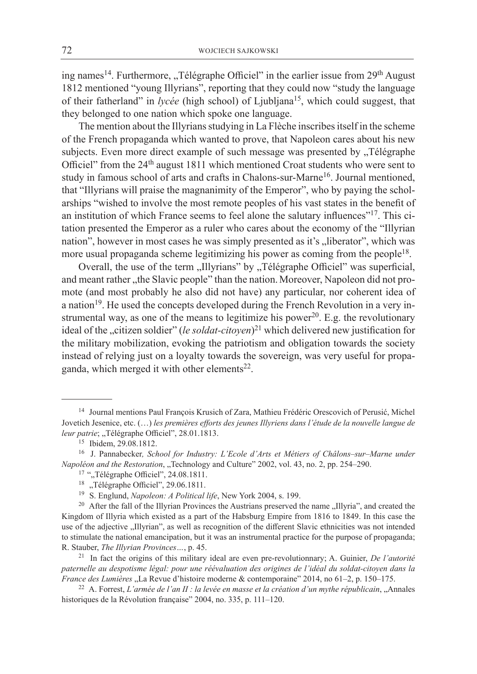ing names<sup>14</sup>. Furthermore, "Télégraphe Officiel" in the earlier issue from 29<sup>th</sup> August 1812 mentioned "young Illyrians", reporting that they could now "study the language of their fatherland" in *lycée* (high school) of Ljubljana<sup>15</sup>, which could suggest, that they belonged to one nation which spoke one language.

The mention about the Illyrians studying in La Flèche inscribes itself in the scheme of the French propaganda which wanted to prove, that Napoleon cares about his new subjects. Even more direct example of such message was presented by "Télégraphe Officiel" from the 24<sup>th</sup> august 1811 which mentioned Croat students who were sent to study in famous school of arts and crafts in Chalons-sur-Marne<sup>16</sup>. Journal mentioned, that "Illyrians will praise the magnanimity of the Emperor", who by paying the scholarships "wished to involve the most remote peoples of his vast states in the benefit of an institution of which France seems to feel alone the salutary influences"17. This citation presented the Emperor as a ruler who cares about the economy of the "Illyrian nation", however in most cases he was simply presented as it's ,,liberator", which was more usual propaganda scheme legitimizing his power as coming from the people<sup>18</sup>.

Overall, the use of the term ,,Illyrians" by ,,Télégraphe Officiel" was superficial, and meant rather "the Slavic people" than the nation. Moreover, Napoleon did not promote (and most probably he also did not have) any particular, nor coherent idea of a nation<sup>19</sup>. He used the concepts developed during the French Revolution in a very instrumental way, as one of the means to legitimize his power<sup>20</sup>. E.g. the revolutionary ideal of the "citizen soldier" (*le soldat-citoyen*)<sup>21</sup> which delivered new justification for the military mobilization, evoking the patriotism and obligation towards the society instead of relying just on a loyalty towards the sovereign, was very useful for propaganda, which merged it with other elements<sup>22</sup>.

<sup>22</sup> A. Forrest, *L'armée de l'an II : la levée en masse et la création d'un mythe républicain*, "Annales historiques de la Révolution française" 2004, no. 335, p. 111-120.

<sup>14</sup> Journal mentions Paul François Krusich of Zara, Mathieu Frédéric Orescovich of Perusić, Michel Jovetich Jesenice, etc. (…) *les premières efforts des jeunes Illyriens dans l'étude de la nouvelle langue de leur patrie*; "Télégraphe Officiel", 28.01.1813.

<sup>15</sup> Ibidem, 29.08.1812.

<sup>16</sup> J. Pannabecker*, School for Industry: L'Ecole d'Arts et Métiers of Châlons–sur–Marne under Napoléon and the Restoration*, "Technology and Culture" 2002, vol. 43, no. 2, pp. 254–290.

<sup>&</sup>lt;sup>17</sup> ",Télégraphe Officiel", 24.08.1811.<br><sup>18</sup> .Télégraphe Officiel", 29.06.1811.

<sup>19</sup> S. Englund, *Napoleon: A Political life*, New York 2004, s. 199.

<sup>&</sup>lt;sup>20</sup> After the fall of the Illyrian Provinces the Austrians preserved the name "Illyria", and created the Kingdom of Illyria which existed as a part of the Habsburg Empire from 1816 to 1849. In this case the use of the adjective "Illyrian", as well as recognition of the different Slavic ethnicities was not intended to stimulate the national emancipation, but it was an instrumental practice for the purpose of propaganda; R. Stauber, *The Illyrian Provinces…*, p. 45.

<sup>21</sup> In fact the origins of this military ideal are even pre-revolutionnary; A. Guinier, *De l'autorité paternelle au despotisme légal: pour une réévaluation des origines de l'idéal du soldat-citoyen dans la France des Lumières* "La Revue d'histoire moderne & contemporaine" 2014, no 61–2, p. 150–175.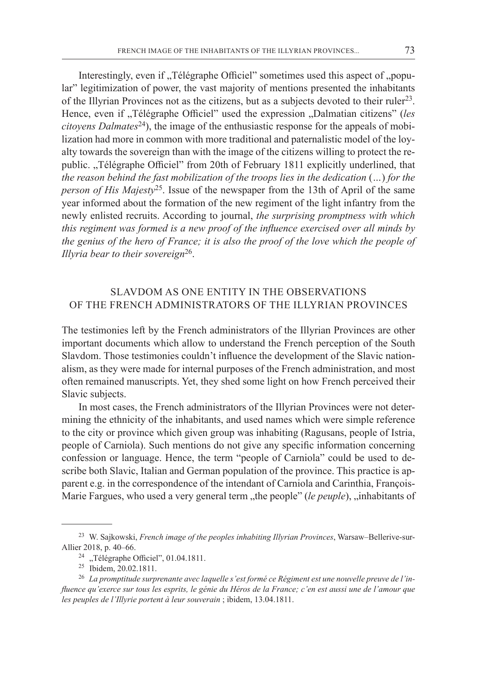Interestingly, even if , Télégraphe Officiel" sometimes used this aspect of , popular" legitimization of power, the vast majority of mentions presented the inhabitants of the Illyrian Provinces not as the citizens, but as a subjects devoted to their ruler<sup>23</sup>. Hence, even if "Télégraphe Officiel" used the expression "Dalmatian citizens" (*les citoyens Dalmates*24), the image of the enthusiastic response for the appeals of mobilization had more in common with more traditional and paternalistic model of the loyalty towards the sovereign than with the image of the citizens willing to protect the republic. "Télégraphe Officiel" from 20th of February 1811 explicitly underlined, that *the reason behind the fast mobilization of the troops lies in the dedication* (*…*) *for the person of His Majesty*25. Issue of the newspaper from the 13th of April of the same year informed about the formation of the new regiment of the light infantry from the newly enlisted recruits. According to journal, *the surprising promptness with which this regiment was formed is a new proof of the influence exercised over all minds by the genius of the hero of France; it is also the proof of the love which the people of Illyria bear to their sovereign*26.

## Slavdom as one entity in the observations of the French administrators of the Illyrian Provinces

The testimonies left by the French administrators of the Illyrian Provinces are other important documents which allow to understand the French perception of the South Slavdom. Those testimonies couldn't influence the development of the Slavic nationalism, as they were made for internal purposes of the French administration, and most often remained manuscripts. Yet, they shed some light on how French perceived their Slavic subjects.

In most cases, the French administrators of the Illyrian Provinces were not determining the ethnicity of the inhabitants, and used names which were simple reference to the city or province which given group was inhabiting (Ragusans, people of Istria, people of Carniola). Such mentions do not give any specific information concerning confession or language. Hence, the term "people of Carniola" could be used to describe both Slavic, Italian and German population of the province. This practice is apparent e.g. in the correspondence of the intendant of Carniola and Carinthia, François-Marie Fargues, who used a very general term "the people" (*le peuple*), "inhabitants of

<sup>23</sup> W. Sajkowski, *French image of the peoples inhabiting Illyrian Provinces*, Warsaw–Bellerive-sur-Allier 2018, p. 40–66.

<sup>&</sup>lt;sup>24</sup> "Télégraphe Officiel", 01.04.1811.

<sup>25</sup> Ibidem, 20.02.1811. 26 *La promptitude surprenante avec laquelle s'est formé ce Régiment est une nouvelle preuve de l'influence qu'exerce sur tous les esprits, le génie du Héros de la France; c'en est aussi une de l'amour que les peuples de l'Illyrie portent à leur souverain* ; ibidem, 13.04.1811.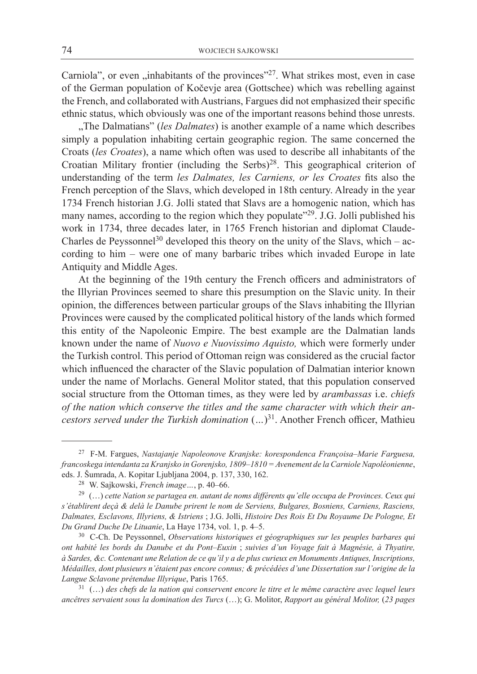Carniola", or even  $\mu$ , inhabitants of the provinces"<sup>27</sup>. What strikes most, even in case of the German population of Kočevje area (Gottschee) which was rebelling against the French, and collaborated with Austrians, Fargues did not emphasized their specific ethnic status, which obviously was one of the important reasons behind those unrests.

"The Dalmatians" (les Dalmates) is another example of a name which describes simply a population inhabiting certain geographic region. The same concerned the Croats (*les Croates*), a name which often was used to describe all inhabitants of the Croatian Military frontier (including the Serbs)<sup>28</sup>. This geographical criterion of understanding of the term *les Dalmates, les Carniens, or les Croates* fits also the French perception of the Slavs, which developed in 18th century. Already in the year 1734 French historian J.G. Jolli stated that Slavs are a homogenic nation, which has many names, according to the region which they populate"<sup>29</sup>. J.G. Jolli published his work in 1734, three decades later, in 1765 French historian and diplomat Claude-Charles de Peyssonnel<sup>30</sup> developed this theory on the unity of the Slavs, which – according to him – were one of many barbaric tribes which invaded Europe in late Antiquity and Middle Ages.

At the beginning of the 19th century the French officers and administrators of the Illyrian Provinces seemed to share this presumption on the Slavic unity. In their opinion, the differences between particular groups of the Slavs inhabiting the Illyrian Provinces were caused by the complicated political history of the lands which formed this entity of the Napoleonic Empire. The best example are the Dalmatian lands known under the name of *Nuovo e Nuovissimo Aquisto,* which were formerly under the Turkish control. This period of Ottoman reign was considered as the crucial factor which influenced the character of the Slavic population of Dalmatian interior known under the name of Morlachs. General Molitor stated, that this population conserved social structure from the Ottoman times, as they were led by *arambassas* i.e. *chiefs of the nation which conserve the titles and the same character with which their ancestors served under the Turkish domination* (*…*) 31. Another French officer, Mathieu

<sup>27</sup> F-M. Fargues, *Nastajanje Napoleonove Kranjske: korespondenca Françoisa–Marie Farguesa, francoskega intendanta za Kranjsko in Gorenjsko, 1809–1810 = Avenement de la Carniole Napoléonienne*, eds. J. Šumrada, A. Kopitar Ljubljana 2004, p. 137, 330, 162. 28 W. Sajkowski, *French image…*, p. 40–66.

<sup>29 (…)</sup> *cette Nation se partagea en. autant de noms différents qu'elle occupa de Provinces. Ceux qui s'établirent deçà & delà le Danube prirent le nom de Serviens, Bulgares, Bosniens, Carniens, Rasciens, Dalmates, Esclavons, Illyriens, & Istriens* ; J.G. Jolli, *Histoire Des Rois Et Du Royaume De Pologne, Et Du Grand Duche De Lituanie*, La Haye 1734, vol. 1, p. 4–5.

<sup>30</sup> C-Ch. De Peyssonnel, *Observations historiques et géographiques sur les peuples barbares qui ont habité les bords du Danube et du Pont–Euxin* ; *suivies d'un Voyage fait à Magnésie, à Thyatire, à Sardes, &c. Contenant une Relation de ce qu'il y a de plus curieux en Monuments Antiques, Inscriptions, Médailles, dont plusieurs n'étaient pas encore connus; & précédées d'une Dissertation sur l'origine de la Langue Sclavone prétendue Illyrique*, Paris 1765.

<sup>31 (…)</sup> *des chefs de la nation qui conservent encore le titre et le même caractère avec lequel leurs ancêtres servaient sous la domination des Turcs* (…); G. Molitor, *Rapport au général Molitor,* (*23 pages*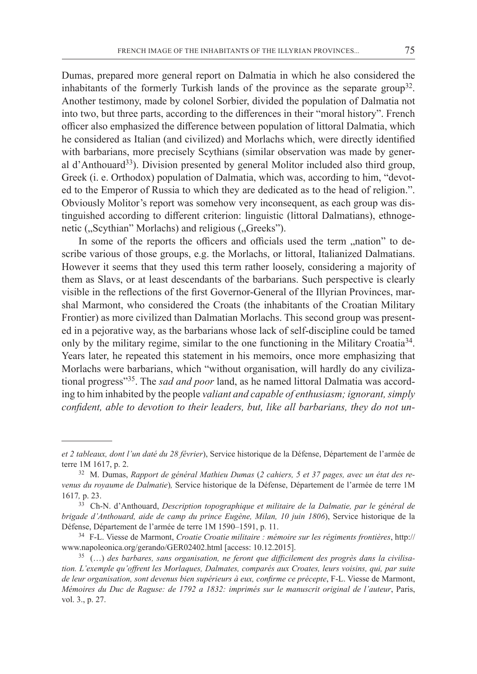Dumas, prepared more general report on Dalmatia in which he also considered the inhabitants of the formerly Turkish lands of the province as the separate group<sup>32</sup>. Another testimony, made by colonel Sorbier, divided the population of Dalmatia not into two, but three parts, according to the differences in their "moral history". French officer also emphasized the difference between population of littoral Dalmatia, which he considered as Italian (and civilized) and Morlachs which, were directly identified with barbarians, more precisely Scythians (similar observation was made by general d'Anthouard33). Division presented by general Molitor included also third group, Greek (i. e. Orthodox) population of Dalmatia, which was, according to him, "devoted to the Emperor of Russia to which they are dedicated as to the head of religion.". Obviously Molitor's report was somehow very inconsequent, as each group was distinguished according to different criterion: linguistic (littoral Dalmatians), ethnogenetic ("Scythian" Morlachs) and religious ("Greeks").

In some of the reports the officers and officials used the term "nation" to describe various of those groups, e.g. the Morlachs, or littoral, Italianized Dalmatians. However it seems that they used this term rather loosely, considering a majority of them as Slavs, or at least descendants of the barbarians. Such perspective is clearly visible in the reflections of the first Governor-General of the Illyrian Provinces, marshal Marmont, who considered the Croats (the inhabitants of the Croatian Military Frontier) as more civilized than Dalmatian Morlachs. This second group was presented in a pejorative way, as the barbarians whose lack of self-discipline could be tamed only by the military regime, similar to the one functioning in the Military Croatia<sup>34</sup>. Years later, he repeated this statement in his memoirs, once more emphasizing that Morlachs were barbarians, which "without organisation, will hardly do any civilizational progress"35. The *sad and poor* land, as he named littoral Dalmatia was according to him inhabited by the people *valiant and capable of enthusiasm; ignorant, simply confident, able to devotion to their leaders, but, like all barbarians, they do not un-*

*et 2 tableaux, dont l'un daté du 28 février*), Service historique de la Défense, Département de l'armée de terre 1M 1617, p. 2.

<sup>32</sup> M. Dumas, *Rapport de général Mathieu Dumas* (*2 cahiers, 5 et 37 pages, avec un état des revenus du royaume de Dalmatie*)*,* Service historique de la Défense, Département de l'armée de terre 1M 1617*,* p. 23.

<sup>33</sup> Ch-N. d'Anthouard, *Description topographique et militaire de la Dalmatie, par le général de brigade d'Anthouard, aide de camp du prince Eugène, Milan, 10 juin 1806*), Service historique de la Défense, Département de l'armée de terre 1M 1590–1591, p. 11.

<sup>34</sup> F-L. Viesse de Marmont, *Croatie Croatie militaire : mémoire sur les régiments frontières*, http:// www.napoleonica.org/gerando/GER02402.html [access: 10.12.2015].

<sup>35 (…)</sup> *des barbares, sans organisation, ne feront que difficilement des progrès dans la civilisation. L'exemple qu'offrent les Morlaques, Dalmates, comparés aux Croates, leurs voisins, qui, par suite de leur organisation, sont devenus bien supérieurs à eux, confirme ce précepte*, F-L. Viesse de Marmont, *Mémoires du Duc de Raguse: de 1792 a 1832: imprimés sur le manuscrit original de l'auteur*, Paris, vol. 3., p. 27.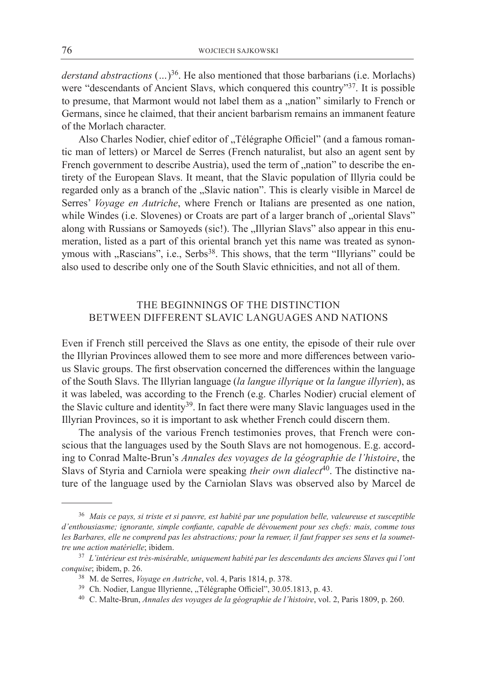*derstand abstractions*  $(...)$ <sup>36</sup>. He also mentioned that those barbarians (i.e. Morlachs) were "descendants of Ancient Slavs, which conquered this country"<sup>37</sup>. It is possible to presume, that Marmont would not label them as a "nation" similarly to French or Germans, since he claimed, that their ancient barbarism remains an immanent feature of the Morlach character.

Also Charles Nodier, chief editor of "Télégraphe Officiel" (and a famous romantic man of letters) or Marcel de Serres (French naturalist, but also an agent sent by French government to describe Austria), used the term of "nation" to describe the entirety of the European Slavs. It meant, that the Slavic population of Illyria could be regarded only as a branch of the "Slavic nation". This is clearly visible in Marcel de Serres' *Voyage en Autriche*, where French or Italians are presented as one nation, while Windes (i.e. Slovenes) or Croats are part of a larger branch of "oriental Slavs" along with Russians or Samoyeds (sic!). The "Illyrian Slavs" also appear in this enumeration, listed as a part of this oriental branch yet this name was treated as synonymous with "Rascians", i.e., Serbs<sup>38</sup>. This shows, that the term "Illyrians" could be also used to describe only one of the South Slavic ethnicities, and not all of them.

## The beginnings of the distinction between different Slavic languages and nations

Even if French still perceived the Slavs as one entity, the episode of their rule over the Illyrian Provinces allowed them to see more and more differences between various Slavic groups. The first observation concerned the differences within the language of the South Slavs. The Illyrian language (*la langue illyrique* or *la langue illyrien*), as it was labeled, was according to the French (e.g. Charles Nodier) crucial element of the Slavic culture and identity<sup>39</sup>. In fact there were many Slavic languages used in the Illyrian Provinces, so it is important to ask whether French could discern them.

The analysis of the various French testimonies proves, that French were conscious that the languages used by the South Slavs are not homogenous. E.g. according to Conrad Malte-Brun's *Annales des voyages de la géographie de l'histoire*, the Slavs of Styria and Carniola were speaking *their own dialect*<sup>40</sup>. The distinctive nature of the language used by the Carniolan Slavs was observed also by Marcel de

<sup>36</sup> *Mais ce pays, si triste et si pauvre, est habité par une population belle, valeureuse et susceptible d'enthousiasme; ignorante, simple confiante, capable de dévouement pour ses chefs: mais, comme tous les Barbares, elle ne comprend pas les abstractions; pour la remuer, il faut frapper ses sens et la soumettre une action matérielle*; ibidem.

<sup>37</sup> *L'intérieur est très-misérable, uniquement habité par les descendants des anciens Slaves qui l'ont conquise*; ibidem, p. 26.

<sup>38</sup> M. de Serres, *Voyage en Autriche*, vol. 4, Paris 1814, p. 378.

<sup>&</sup>lt;sup>39</sup> Ch. Nodier, Langue Illyrienne, "Télégraphe Officiel", 30.05.1813, p. 43.

<sup>40</sup> C. Malte-Brun, *Annales des voyages de la géographie de l'histoire*, vol. 2, Paris 1809, p. 260.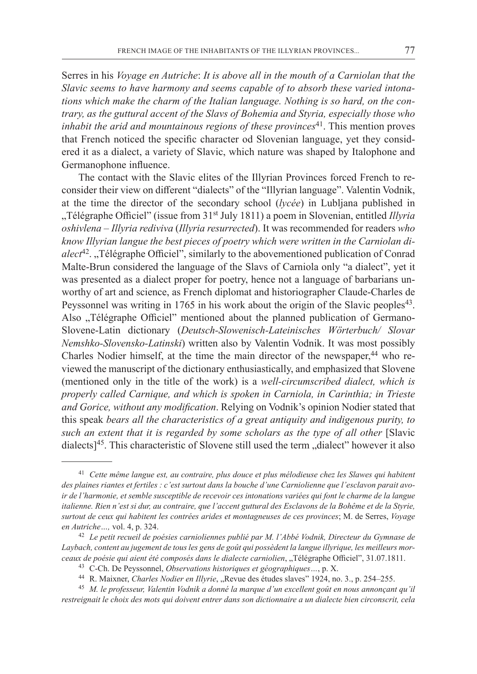Serres in his *Voyage en Autriche*: *It is above all in the mouth of a Carniolan that the Slavic seems to have harmony and seems capable of to absorb these varied intonations which make the charm of the Italian language. Nothing is so hard, on the contrary, as the guttural accent of the Slavs of Bohemia and Styria, especially those who inhabit the arid and mountainous regions of these provinces*<sup>41</sup>. This mention proves that French noticed the specific character od Slovenian language, yet they considered it as a dialect, a variety of Slavic, which nature was shaped by Italophone and Germanophone influence.

The contact with the Slavic elites of the Illyrian Provinces forced French to reconsider their view on different "dialects" of the "Illyrian language". Valentin Vodnik, at the time the director of the secondary school (*lycée*) in Lubljana published in "Télégraphe Officiel" (issue from 31st July 1811) a poem in Slovenian, entitled *Illyria oshivlena – Illyria rediviva* (*Illyria resurrected*). It was recommended for readers *who know Illyrian langue the best pieces of poetry which were written in the Carniolan dialect*42. "Télégraphe Officiel", similarly to the abovementioned publication of Conrad Malte-Brun considered the language of the Slavs of Carniola only "a dialect", yet it was presented as a dialect proper for poetry, hence not a language of barbarians unworthy of art and science, as French diplomat and historiographer Claude-Charles de Peyssonnel was writing in 1765 in his work about the origin of the Slavic peoples<sup>43</sup>. Also "Télégraphe Officiel" mentioned about the planned publication of Germano-Slovene-Latin dictionary (*Deutsch-Slowenisch-Lateinisches Wörterbuch/ Slovar Nemshko-Slovensko-Latinski*) written also by Valentin Vodnik. It was most possibly Charles Nodier himself, at the time the main director of the newspaper, $^{44}$  who reviewed the manuscript of the dictionary enthusiastically, and emphasized that Slovene (mentioned only in the title of the work) is a *well-circumscribed dialect, which is properly called Carnique, and which is spoken in Carniola, in Carinthia; in Trieste and Gorice, without any modification*. Relying on Vodnik's opinion Nodier stated that this speak *bears all the characteristics of a great antiquity and indigenous purity, to such an extent that it is regarded by some scholars as the type of all other* [Slavic dialects<sup> $45$ </sup>. This characteristic of Slovene still used the term "dialect" however it also

<sup>41</sup> *Cette même langue est, au contraire, plus douce et plus mélodieuse chez les Slawes qui habitent des plaines riantes et fertiles : c'est surtout dans la bouche d'une Carniolienne que l'esclavon parait avoir de l'harmonie, et semble susceptible de recevoir ces intonations variées qui font le charme de la langue italienne. Rien n'est si dur, au contraire, que l'accent guttural des Esclavons de la Bohême et de la Styrie, surtout de ceux qui habitent les contrées arides et montagneuses de ces provinces*; M. de Serres, *Voyage en Autriche…,* vol. 4, p. 324.

<sup>42</sup> *Le petit recueil de poésies carnioliennes publié par M. l'Abbé Vodnik, Directeur du Gymnase de Laybach, content au jugement de tous les gens de goût qui possèdent la langue illyrique, les meilleurs morceaux de poésie qui aient été composés dans le dialecte carniolien*, "Télégraphe Officiel", 31.07.1811.

<sup>43</sup> C-Ch. De Peyssonnel, *Observations historiques et géographiques…*, p. X.

<sup>&</sup>lt;sup>44</sup> R. Maixner, *Charles Nodier en Illyrie*, "Revue des études slaves" 1924, no. 3., p. 254-255.

<sup>45</sup> *M. le professeur, Valentin Vodnik a donné la marque d'un excellent goût en nous annonçant qu'il restreignait le choix des mots qui doivent entrer dans son dictionnaire a un dialecte bien circonscrit, cela*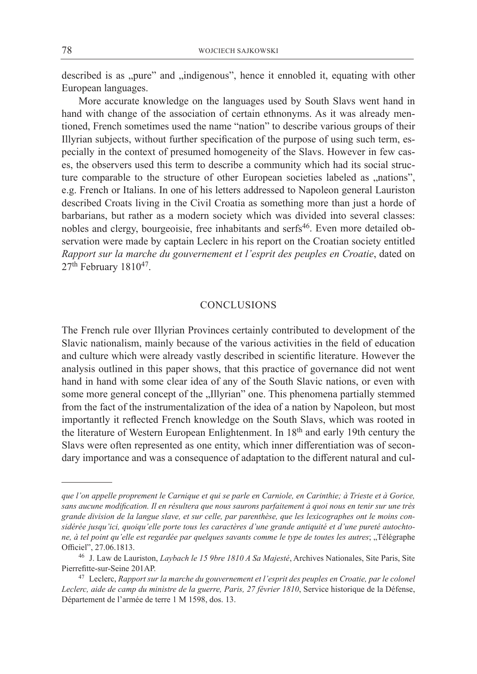described is as "pure" and "indigenous", hence it ennobled it, equating with other European languages.

More accurate knowledge on the languages used by South Slavs went hand in hand with change of the association of certain ethnonyms. As it was already mentioned, French sometimes used the name "nation" to describe various groups of their Illyrian subjects, without further specification of the purpose of using such term, especially in the context of presumed homogeneity of the Slavs. However in few cases, the observers used this term to describe a community which had its social structure comparable to the structure of other European societies labeled as "nations", e.g. French or Italians. In one of his letters addressed to Napoleon general Lauriston described Croats living in the Civil Croatia as something more than just a horde of barbarians, but rather as a modern society which was divided into several classes: nobles and clergy, bourgeoisie, free inhabitants and serfs<sup>46</sup>. Even more detailed observation were made by captain Leclerc in his report on the Croatian society entitled *Rapport sur la marche du gouvernement et l'esprit des peuples en Croatie*, dated on 27<sup>th</sup> February 1810<sup>47</sup>.

#### **CONCLUSIONS**

The French rule over Illyrian Provinces certainly contributed to development of the Slavic nationalism, mainly because of the various activities in the field of education and culture which were already vastly described in scientific literature. However the analysis outlined in this paper shows, that this practice of governance did not went hand in hand with some clear idea of any of the South Slavic nations, or even with some more general concept of the "Illyrian" one. This phenomena partially stemmed from the fact of the instrumentalization of the idea of a nation by Napoleon, but most importantly it reflected French knowledge on the South Slavs, which was rooted in the literature of Western European Enlightenment. In 18<sup>th</sup> and early 19th century the Slavs were often represented as one entity, which inner differentiation was of secondary importance and was a consequence of adaptation to the different natural and cul-

*que l'on appelle proprement le Carnique et qui se parle en Carniole, en Carinthie; à Trieste et à Gorice, sans aucune modification. Il en résultera que nous saurons parfaitement à quoi nous en tenir sur une très grande division de la langue slave, et sur celle, par parenthèse, que les lexicographes ont le moins considérée jusqu'ici, quoiqu'elle porte tous les caractères d'une grande antiquité et d'une pureté autochtone, à tel point qu'elle est regardée par quelques savants comme le type de toutes les autres*; "Télégraphe Officiel", 27.06.1813.

<sup>46</sup> J. Law de Lauriston, *Laybach le 15 9bre 1810 A Sa Majesté*, Archives Nationales, Site Paris, Site Pierrefitte-sur-Seine 201AP.

<sup>47</sup> Leclerc, *Rapport sur la marche du gouvernement et l'esprit des peuples en Croatie, par le colonel Leclerc, aide de camp du ministre de la guerre, Paris, 27 février 1810*, Service historique de la Défense, Département de l'armée de terre 1 M 1598, dos. 13.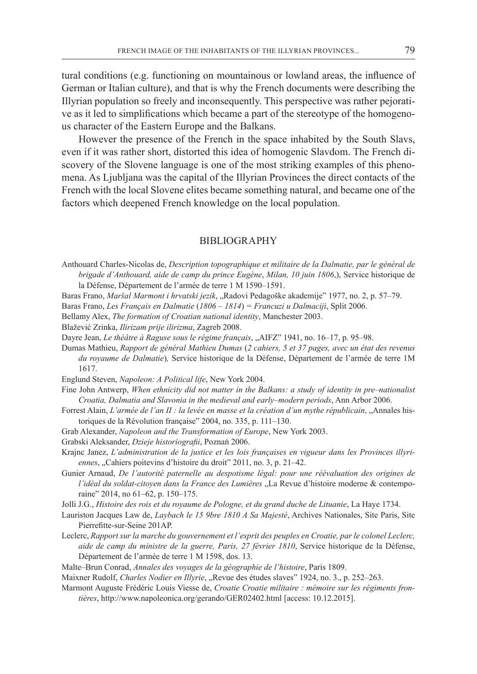tural conditions (e.g. functioning on mountainous or lowland areas, the influence of German or Italian culture), and that is why the French documents were describing the Illyrian population so freely and inconsequently. This perspective was rather pejorative as it led to simplifications which became a part of the stereotype of the homogenous character of the Eastern Europe and the Balkans.

However the presence of the French in the space inhabited by the South Slavs, even if it was rather short, distorted this idea of homogenic Slavdom. The French discovery of the Slovene language is one of the most striking examples of this phenomena. As Ljubljana was the capital of the Illyrian Provinces the direct contacts of the French with the local Slovene elites became something natural, and became one of the factors which deepened French knowledge on the local population.

#### BIBLIOGRAPHY

- Anthouard Charles-Nicolas de, *Description topographique et militaire de la Dalmatie, par le général de brigade d'Anthouard, aide de camp du prince Eugène*, *Milan, 10 juin 1806*,), Service historique de la Défense, Département de l'armée de terre 1 M 1590–1591.
- Baras Frano, *Maršal Marmont i hrvatski jezik*, "Radovi Pedagoške akademije" 1977, no. 2, p. 57–79.
- Baras Frano, *Les Français en Dalmatie* (*1806 1814*) *= Francuzi u Dalmaciji*, Split 2006.
- Bellamy Alex, *The formation of Croatian national identity*, Manchester 2003.
- Blažević Zrinka, *Ilirizam prije ilirizma*, Zagreb 2008.
- Dayre Jean, *Le théâtre à Raguse sous le régime français*, "AIFZ" 1941, no. 16-17, p. 95-98.
- Dumas Mathieu, *Rapport de général Mathieu Dumas* (*2 cahiers, 5 et 37 pages, avec un état des revenus du royaume de Dalmatie*)*,* Service historique de la Défense, Département de l'armée de terre 1M 1617.

Englund Steven, *Napoleon: A Political life*, New York 2004.

- Fine John Antwerp, *When ethnicity did not matter in the Balkans: a study of identity in pre–nationalist Croatia, Dalmatia and Slavonia in the medieval and early–modern periods*, Ann Arbor 2006.
- Forrest Alain, *L'armée de l'an II : la levée en masse et la création d'un mythe républicain*, "Annales historiques de la Révolution française" 2004, no. 335, p. 111–130.
- Grab Alexander, *Napoleon and the Transformation of Europe*, New York 2003.
- Grabski Aleksander, *Dzieje historiografii*, Poznań 2006.
- Krajnc Janez, *L'administration de la justice et les lois françaises en vigueur dans les Provinces illyri*ennes, "Cahiers poitevins d'histoire du droit" 2011, no. 3, p. 21–42.
- Gunier Arnaud, *De l'autorité paternelle au despotisme légal: pour une réévaluation des origines de l'idéal du soldat-citoyen dans la France des Lumières* "La Revue d'histoire moderne & contemporaine" 2014, no 61–62, p. 150–175.
- Jolli J.G., *Histoire des rois et du royaume de Pologne, et du grand duche de Lituanie*, La Haye 1734.
- Lauriston Jacques Law de, *Laybach le 15 9bre 1810 A Sa Majesté*, Archives Nationales, Site Paris, Site Pierrefitte-sur-Seine 201AP.
- Leclerc, *Rapport sur la marche du gouvernement et l'esprit des peuples en Croatie, par le colonel Leclerc, aide de camp du ministre de la guerre, Paris, 27 février 1810*, Service historique de la Défense, Département de l'armée de terre 1 M 1598, dos. 13.
- Malte–Brun Conrad, *Annales des voyages de la géographie de l'histoire*, Paris 1809.
- Maixner Rudolf, *Charles Nodier en Illyrie*, "Revue des études slaves" 1924, no. 3., p. 252–263.
- Marmont Auguste Frédéric Louis Viesse de, *Croatie Croatie militaire : mémoire sur les régiments frontières*, http://www.napoleonica.org/gerando/GER02402.html [access: 10.12.2015].